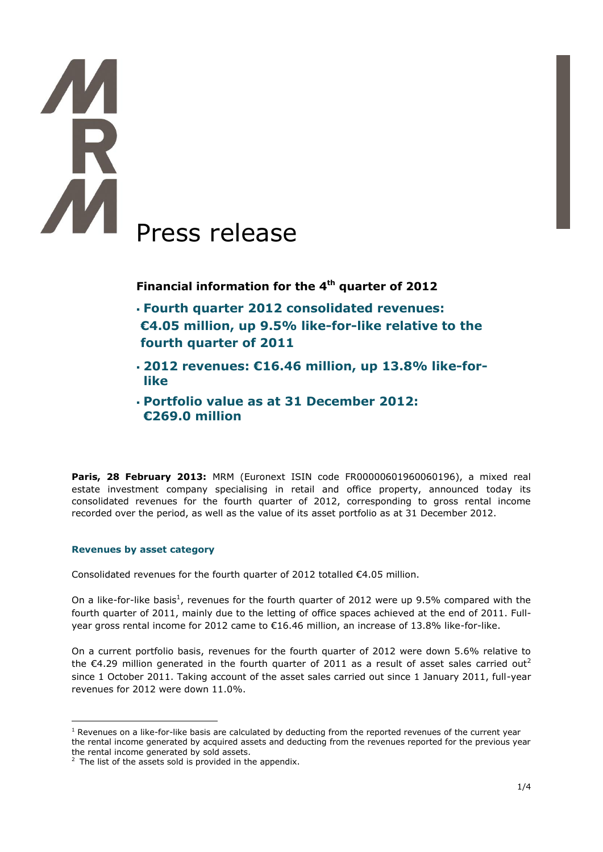# Press release

**Financial information for the 4th quarter of 2012**

- **Fourth quarter 2012 consolidated revenues: €4.05 million, up 9.5% like-for-like relative to the fourth quarter of 2011**
- **2012 revenues: €16.46 million, up 13.8% like-forlike**
- **Portfolio value as at 31 December 2012: €269.0 million**

**Paris, 28 February 2013: MRM (Euronext ISIN code FR00000601960060196), a mixed real** estate investment company specialising in retail and office property, announced today its consolidated revenues for the fourth quarter of 2012, corresponding to gross rental income recorded over the period, as well as the value of its asset portfolio as at 31 December 2012.

# **Revenues by asset category**

Consolidated revenues for the fourth quarter of 2012 totalled €4.05 million.

On a like-for-like basis<sup>1</sup>, revenues for the fourth quarter of 2012 were up 9.5% compared with the fourth quarter of 2011, mainly due to the letting of office spaces achieved at the end of 2011. Fullyear gross rental income for 2012 came to €16.46 million, an increase of 13.8% like-for-like.

On a current portfolio basis, revenues for the fourth quarter of 2012 were down 5.6% relative to the  $\epsilon$ 4.29 million generated in the fourth quarter of 2011 as a result of asset sales carried out<sup>2</sup> since 1 October 2011. Taking account of the asset sales carried out since 1 January 2011, full-year revenues for 2012 were down 11.0%.

<sup>1</sup>  $<sup>1</sup>$  Revenues on a like-for-like basis are calculated by deducting from the reported revenues of the current year</sup> the rental income generated by acquired assets and deducting from the revenues reported for the previous year the rental income generated by sold assets.

 $2$  The list of the assets sold is provided in the appendix.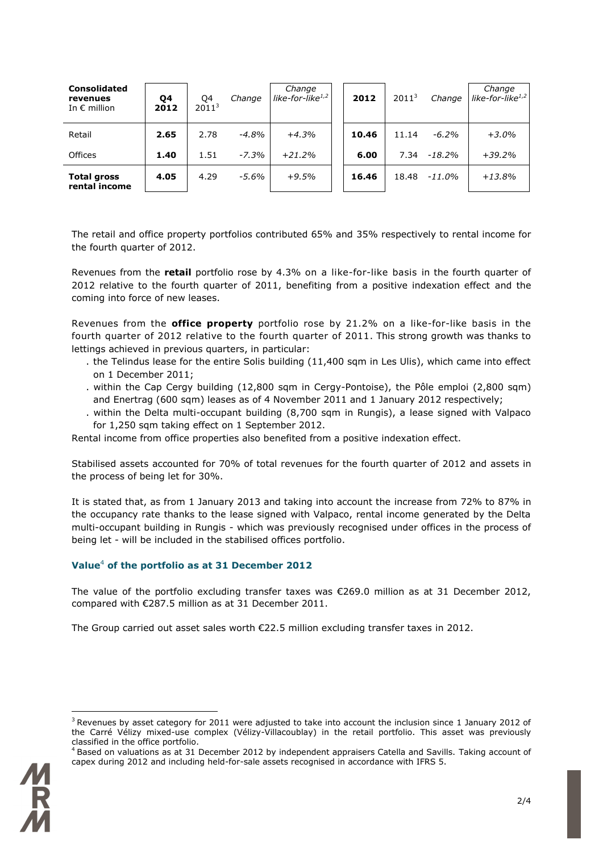| <b>Consolidated</b><br>revenues<br>In $\epsilon$ million | Q4<br>2012 | Q4<br>2011 <sup>3</sup> | Change   | Change<br>like-for-like $1/2$ | 2012  | 2011 <sup>3</sup> | Change    | Change<br>like-for-like $1/2$ |
|----------------------------------------------------------|------------|-------------------------|----------|-------------------------------|-------|-------------------|-----------|-------------------------------|
| Retail                                                   | 2.65       | 2.78                    | $-4.8\%$ | $+4.3%$                       | 10.46 | 11.14             | $-6.2%$   | $+3.0%$                       |
| Offices                                                  | 1.40       | 1.51                    | $-7.3%$  | $+21.2%$                      | 6.00  | 7.34              | $-18.2%$  | $+39.2%$                      |
| <b>Total gross</b><br>rental income                      | 4.05       | 4.29                    | $-5.6\%$ | $+9.5%$                       | 16.46 | 18.48             | $-11.0\%$ | $+13.8%$                      |

The retail and office property portfolios contributed 65% and 35% respectively to rental income for the fourth quarter of 2012.

Revenues from the **retail** portfolio rose by 4.3% on a like-for-like basis in the fourth quarter of 2012 relative to the fourth quarter of 2011, benefiting from a positive indexation effect and the coming into force of new leases.

Revenues from the **office property** portfolio rose by 21.2% on a like-for-like basis in the fourth quarter of 2012 relative to the fourth quarter of 2011. This strong growth was thanks to lettings achieved in previous quarters, in particular:

- . the Telindus lease for the entire Solis building (11,400 sqm in Les Ulis), which came into effect on 1 December 2011;
- . within the Cap Cergy building (12,800 sqm in Cergy-Pontoise), the Pôle emploi (2,800 sqm) and Enertrag (600 sqm) leases as of 4 November 2011 and 1 January 2012 respectively;
- . within the Delta multi-occupant building (8,700 sqm in Rungis), a lease signed with Valpaco for 1,250 sqm taking effect on 1 September 2012.

Rental income from office properties also benefited from a positive indexation effect.

Stabilised assets accounted for 70% of total revenues for the fourth quarter of 2012 and assets in the process of being let for 30%.

It is stated that, as from 1 January 2013 and taking into account the increase from 72% to 87% in the occupancy rate thanks to the lease signed with Valpaco, rental income generated by the Delta multi-occupant building in Rungis - which was previously recognised under offices in the process of being let - will be included in the stabilised offices portfolio.

# **Value**<sup>4</sup> **of the portfolio as at 31 December 2012**

The value of the portfolio excluding transfer taxes was €269.0 million as at 31 December 2012, compared with €287.5 million as at 31 December 2011.

The Group carried out asset sales worth €22.5 million excluding transfer taxes in 2012.

<sup>&</sup>lt;sup>4</sup> Based on valuations as at 31 December 2012 by independent appraisers Catella and Savills. Taking account of capex during 2012 and including held-for-sale assets recognised in accordance with IFRS 5.



1

 $3$  Revenues by asset category for 2011 were adjusted to take into account the inclusion since 1 January 2012 of the Carré Vélizy mixed-use complex (Vélizy-Villacoublay) in the retail portfolio. This asset was previously classified in the office portfolio.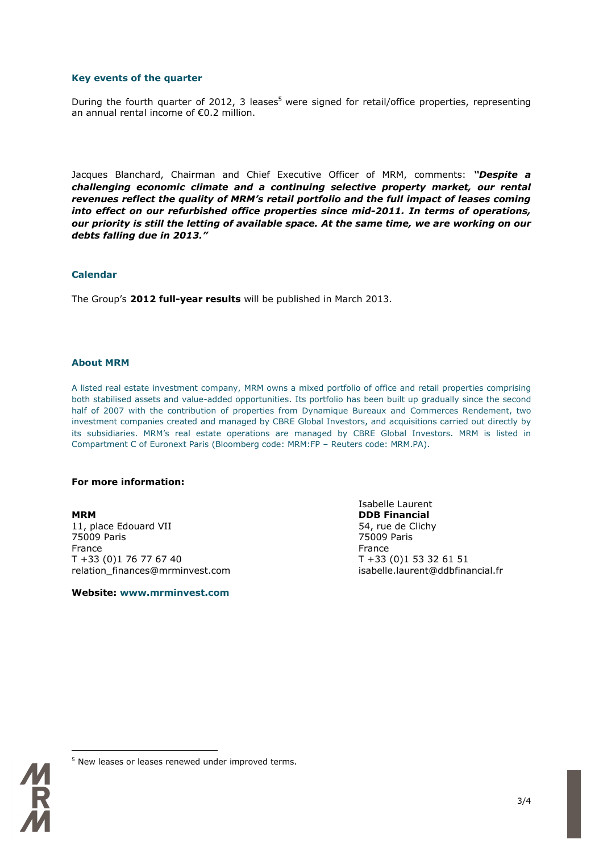### **Key events of the quarter**

During the fourth quarter of 2012, 3 leases<sup>5</sup> were signed for retail/office properties, representing an annual rental income of €0.2 million.

Jacques Blanchard, Chairman and Chief Executive Officer of MRM, comments: *"Despite a challenging economic climate and a continuing selective property market, our rental revenues reflect the quality of MRM's retail portfolio and the full impact of leases coming into effect on our refurbished office properties since mid-2011. In terms of operations, our priority is still the letting of available space. At the same time, we are working on our debts falling due in 2013."*

### **Calendar**

The Group's **2012 full-year results** will be published in March 2013.

### **About MRM**

A listed real estate investment company, MRM owns a mixed portfolio of office and retail properties comprising both stabilised assets and value-added opportunities. Its portfolio has been built up gradually since the second half of 2007 with the contribution of properties from Dynamique Bureaux and Commerces Rendement, two investment companies created and managed by CBRE Global Investors, and acquisitions carried out directly by its subsidiaries. MRM's real estate operations are managed by CBRE Global Investors. MRM is listed in Compartment C of Euronext Paris (Bloomberg code: MRM:FP – Reuters code: MRM.PA).

### **For more information:**

**MRM DDB Financial** 11, place Edouard VII 64, rue de Clichy<br>
75009 Paris 1990 - 1990 - 1990 - 1990 - 1990 - 1990 - 1990 - 1990 - 1990 - 1990 - 1990 - 1990 - 1990 - 1990 -75009 Paris 75009 Paris France **France France France** T +33 (0)1 76 77 67 40 T +33 (0)1 53 32 61 51 relation\_finances@mrminvest.com isabelle.laurent@ddbfinancial.fr

**Website: www.mrminvest.com**

Isabelle Laurent

1

<sup>&</sup>lt;sup>5</sup> New leases or leases renewed under improved terms.